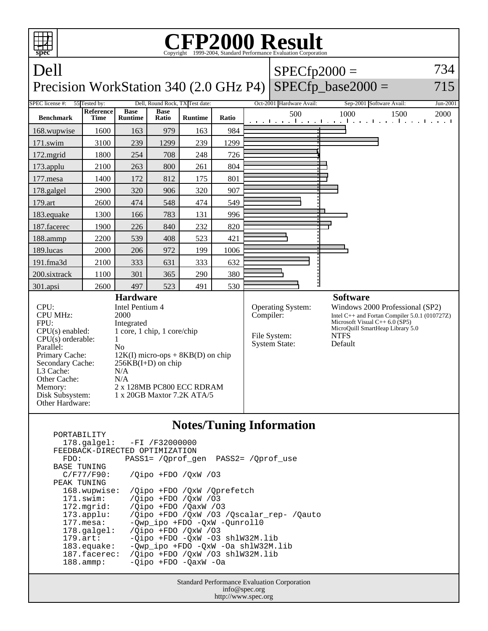

|                                | 178.galgel: -FI /F32000000                      |
|--------------------------------|-------------------------------------------------|
| FEEDBACK-DIRECTED OPTIMIZATION |                                                 |
| FDO:                           | PASS1= /Oprof gen PASS2= /Oprof use             |
| BASE TUNING                    |                                                 |
| C/F77/F90:                     | $\sqrt{O}$ ipo +FDO $\sqrt{O}$ xW $\sqrt{O}$ 3  |
| PEAK TUNING                    |                                                 |
| 168.wupwise:                   | /Oipo +FDO /OxW /Oprefetch                      |
| 171.swim:                      | /Qipo +FDO /QxW /03                             |
| 172.mgrid:                     | $\sqrt{O}$ ipo +FDO $\sqrt{O}$ axW $\sqrt{O}$ 3 |
| $173.appendu$ :                | /Qipo +FDO /QxW /03 /Qscalar_rep- /Qauto        |
| $177.$ mesa:                   | -Qwp_ipo +FDO -QxW -Qunroll0                    |
| $178.\text{qalgel}$ :          | $\sqrt{O}$ ipo +FDO $\sqrt{O}$ xW $\sqrt{O}$ 3  |
| $179.\arct:$                   | $-Qipo$ +FDO $-QxW$ -O3 shlW32M.lib             |
| $183$ .equake:                 | -Owp ipo +FDO -OxW -Oa shlW32M.lib              |
| 187.facerec:                   | /Oipo +FDO /OxW /O3 shlW32M.lib                 |
| $188.\text{amm}:$              | -Oipo +FDO -OaxW -Oa                            |
|                                |                                                 |

Standard Performance Evaluation Corporation info@spec.org http://www.spec.org